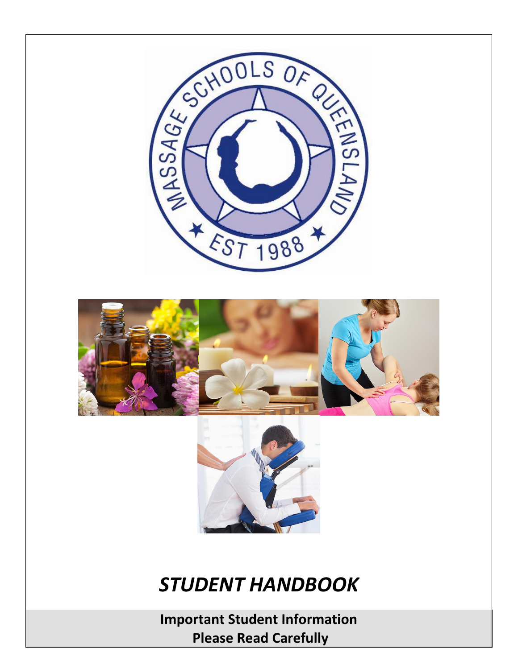

*STUDENT HANDBOOK*

**Important Student Information Please Read Carefully**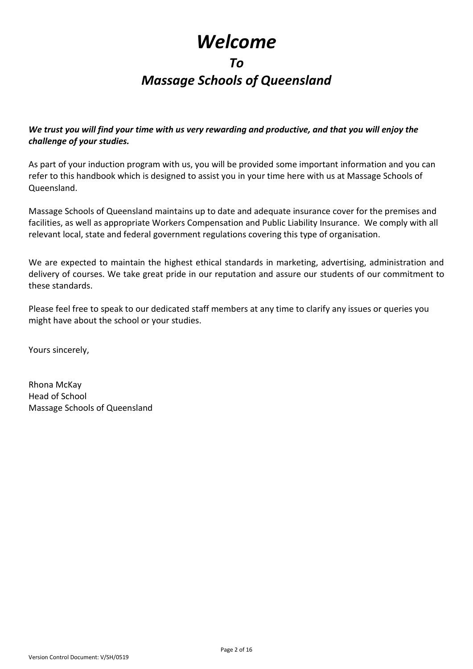## *Welcome*

#### *To*

### *Massage Schools of Queensland*

*We trust you will find your time with us very rewarding and productive, and that you will enjoy the challenge of your studies.*

As part of your induction program with us, you will be provided some important information and you can refer to this handbook which is designed to assist you in your time here with us at Massage Schools of Queensland.

Massage Schools of Queensland maintains up to date and adequate insurance cover for the premises and facilities, as well as appropriate Workers Compensation and Public Liability Insurance. We comply with all relevant local, state and federal government regulations covering this type of organisation.

We are expected to maintain the highest ethical standards in marketing, advertising, administration and delivery of courses. We take great pride in our reputation and assure our students of our commitment to these standards.

Please feel free to speak to our dedicated staff members at any time to clarify any issues or queries you might have about the school or your studies.

Yours sincerely,

Rhona McKay Head of School Massage Schools of Queensland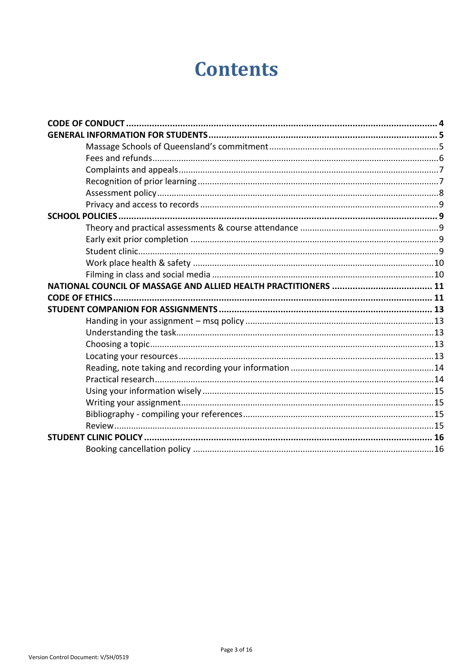# **Contents**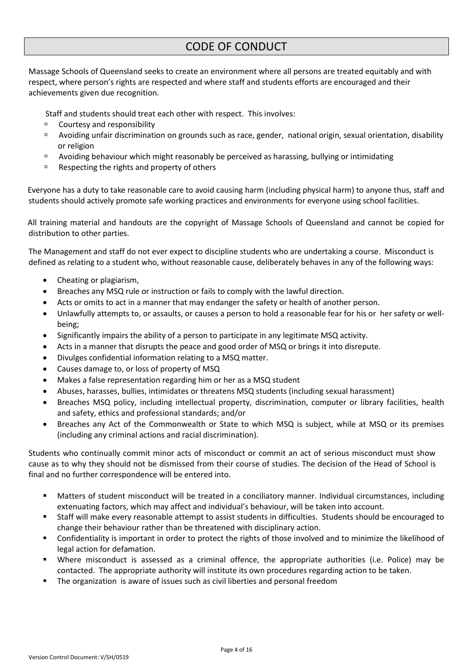### CODE OF CONDUCT

<span id="page-3-0"></span>Massage Schools of Queensland seeks to create an environment where all persons are treated equitably and with respect, where person's rights are respected and where staff and students efforts are encouraged and their achievements given due recognition.

Staff and students should treat each other with respect. This involves:

- □ Courtesy and responsibility
- Avoiding unfair discrimination on grounds such as race, gender, national origin, sexual orientation, disability or religion
- **P** Avoiding behaviour which might reasonably be perceived as harassing, bullying or intimidating
- $P^{\Box}$  Respecting the rights and property of others

Everyone has a duty to take reasonable care to avoid causing harm (including physical harm) to anyone thus, staff and students should actively promote safe working practices and environments for everyone using school facilities.

All training material and handouts are the copyright of Massage Schools of Queensland and cannot be copied for distribution to other parties.

The Management and staff do not ever expect to discipline students who are undertaking a course. Misconduct is defined as relating to a student who, without reasonable cause, deliberately behaves in any of the following ways:

- Cheating or plagiarism,
- Breaches any MSQ rule or instruction or fails to comply with the lawful direction.
- Acts or omits to act in a manner that may endanger the safety or health of another person.
- Unlawfully attempts to, or assaults, or causes a person to hold a reasonable fear for his or her safety or wellbeing;
- Significantly impairs the ability of a person to participate in any legitimate MSQ activity.
- Acts in a manner that disrupts the peace and good order of MSQ or brings it into disrepute.
- Divulges confidential information relating to a MSQ matter.
- Causes damage to, or loss of property of MSQ
- Makes a false representation regarding him or her as a MSQ student
- Abuses, harasses, bullies, intimidates or threatens MSQ students (including sexual harassment)
- Breaches MSQ policy, including intellectual property, discrimination, computer or library facilities, health and safety, ethics and professional standards; and/or
- Breaches any Act of the Commonwealth or State to which MSQ is subject, while at MSQ or its premises (including any criminal actions and racial discrimination).

Students who continually commit minor acts of misconduct or commit an act of serious misconduct must show cause as to why they should not be dismissed from their course of studies. The decision of the Head of School is final and no further correspondence will be entered into.

- Matters of student misconduct will be treated in a conciliatory manner. Individual circumstances, including extenuating factors, which may affect and individual's behaviour, will be taken into account.
- Staff will make every reasonable attempt to assist students in difficulties. Students should be encouraged to change their behaviour rather than be threatened with disciplinary action.
- Confidentiality is important in order to protect the rights of those involved and to minimize the likelihood of legal action for defamation.
- Where misconduct is assessed as a criminal offence, the appropriate authorities (i.e. Police) may be contacted. The appropriate authority will institute its own procedures regarding action to be taken.
- The organization is aware of issues such as civil liberties and personal freedom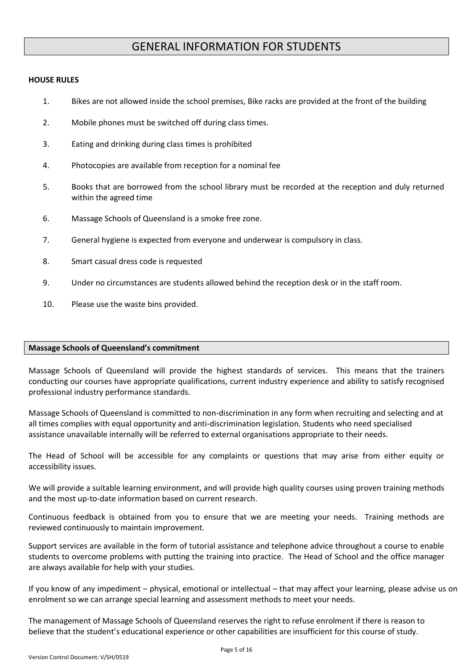### GENERAL INFORMATION FOR STUDENTS

#### <span id="page-4-0"></span>**HOUSE RULES**

- 1. Bikes are not allowed inside the school premises, Bike racks are provided at the front of the building
- 2. Mobile phones must be switched off during class times.
- 3. Eating and drinking during class times is prohibited
- 4. Photocopies are available from reception for a nominal fee
- 5. Books that are borrowed from the school library must be recorded at the reception and duly returned within the agreed time
- 6. Massage Schools of Queensland is a smoke free zone.
- 7. General hygiene is expected from everyone and underwear is compulsory in class.
- 8. Smart casual dress code is requested
- 9. Under no circumstances are students allowed behind the reception desk or in the staff room.
- 10. Please use the waste bins provided.

#### <span id="page-4-1"></span>**Massage Schools of Queensland's commitment**

Massage Schools of Queensland will provide the highest standards of services. This means that the trainers conducting our courses have appropriate qualifications, current industry experience and ability to satisfy recognised professional industry performance standards.

Massage Schools of Queensland is committed to non-discrimination in any form when recruiting and selecting and at all times complies with equal opportunity and anti-discrimination legislation. Students who need specialised assistance unavailable internally will be referred to external organisations appropriate to their needs.

The Head of School will be accessible for any complaints or questions that may arise from either equity or accessibility issues.

We will provide a suitable learning environment, and will provide high quality courses using proven training methods and the most up-to-date information based on current research.

Continuous feedback is obtained from you to ensure that we are meeting your needs. Training methods are reviewed continuously to maintain improvement.

Support services are available in the form of tutorial assistance and telephone advice throughout a course to enable students to overcome problems with putting the training into practice. The Head of School and the office manager are always available for help with your studies.

If you know of any impediment – physical, emotional or intellectual – that may affect your learning, please advise us on enrolment so we can arrange special learning and assessment methods to meet your needs.

The management of Massage Schools of Queensland reserves the right to refuse enrolment if there is reason to believe that the student's educational experience or other capabilities are insufficient for this course of study.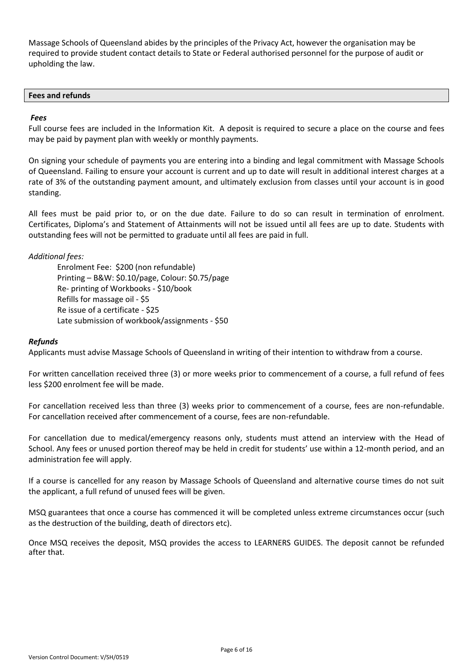Massage Schools of Queensland abides by the principles of the Privacy Act, however the organisation may be required to provide student contact details to State or Federal authorised personnel for the purpose of audit or upholding the law.

#### <span id="page-5-0"></span>**Fees and refunds**

#### *Fees*

Full course fees are included in the Information Kit. A deposit is required to secure a place on the course and fees may be paid by payment plan with weekly or monthly payments.

On signing your schedule of payments you are entering into a binding and legal commitment with Massage Schools of Queensland. Failing to ensure your account is current and up to date will result in additional interest charges at a rate of 3% of the outstanding payment amount, and ultimately exclusion from classes until your account is in good standing.

All fees must be paid prior to, or on the due date. Failure to do so can result in termination of enrolment. Certificates, Diploma's and Statement of Attainments will not be issued until all fees are up to date. Students with outstanding fees will not be permitted to graduate until all fees are paid in full.

#### *Additional fees:*

Enrolment Fee: \$200 (non refundable) Printing – B&W: \$0.10/page, Colour: \$0.75/page Re- printing of Workbooks - \$10/book Refills for massage oil - \$5 Re issue of a certificate - \$25 Late submission of workbook/assignments - \$50

#### *Refunds*

Applicants must advise Massage Schools of Queensland in writing of their intention to withdraw from a course.

For written cancellation received three (3) or more weeks prior to commencement of a course, a full refund of fees less \$200 enrolment fee will be made.

For cancellation received less than three (3) weeks prior to commencement of a course, fees are non-refundable. For cancellation received after commencement of a course, fees are non-refundable.

For cancellation due to medical/emergency reasons only, students must attend an interview with the Head of School. Any fees or unused portion thereof may be held in credit for students' use within a 12-month period, and an administration fee will apply.

If a course is cancelled for any reason by Massage Schools of Queensland and alternative course times do not suit the applicant, a full refund of unused fees will be given.

MSQ guarantees that once a course has commenced it will be completed unless extreme circumstances occur (such as the destruction of the building, death of directors etc).

Once MSQ receives the deposit, MSQ provides the access to LEARNERS GUIDES. The deposit cannot be refunded after that.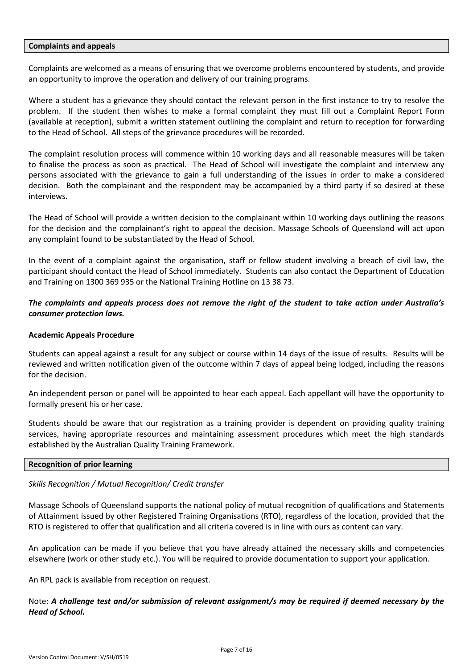#### <span id="page-6-0"></span>**Complaints and appeals**

Complaints are welcomed as a means of ensuring that we overcome problems encountered by students, and provide an opportunity to improve the operation and delivery of our training programs.

Where a student has a grievance they should contact the relevant person in the first instance to try to resolve the problem. If the student then wishes to make a formal complaint they must fill out a Complaint Report Form (available at reception), submit a written statement outlining the complaint and return to reception for forwarding to the Head of School. All steps of the grievance procedures will be recorded.

The complaint resolution process will commence within 10 working days and all reasonable measures will be taken to finalise the process as soon as practical. The Head of School will investigate the complaint and interview any persons associated with the grievance to gain a full understanding of the issues in order to make a considered decision. Both the complainant and the respondent may be accompanied by a third party if so desired at these interviews.

The Head of School will provide a written decision to the complainant within 10 working days outlining the reasons for the decision and the complainant's right to appeal the decision. Massage Schools of Queensland will act upon any complaint found to be substantiated by the Head of School.

In the event of a complaint against the organisation, staff or fellow student involving a breach of civil law, the participant should contact the Head of School immediately. Students can also contact the Department of Education and Training on 1300 369 935 or the National Training Hotline on 13 38 73.

#### *The complaints and appeals process does not remove the right of the student to take action under Australia's consumer protection laws.*

#### **Academic Appeals Procedure**

Students can appeal against a result for any subject or course within 14 days of the issue of results. Results will be reviewed and written notification given of the outcome within 7 days of appeal being lodged, including the reasons for the decision.

An independent person or panel will be appointed to hear each appeal. Each appellant will have the opportunity to formally present his or her case.

Students should be aware that our registration as a training provider is dependent on providing quality training services, having appropriate resources and maintaining assessment procedures which meet the high standards established by the Australian Quality Training Framework.

#### <span id="page-6-1"></span>**Recognition of prior learning**

#### *Skills Recognition / Mutual Recognition/ Credit transfer*

Massage Schools of Queensland supports the national policy of mutual recognition of qualifications and Statements of Attainment issued by other Registered Training Organisations (RTO), regardless of the location, provided that the RTO is registered to offer that qualification and all criteria covered is in line with ours as content can vary.

An application can be made if you believe that you have already attained the necessary skills and competencies elsewhere (work or other study etc.). You will be required to provide documentation to support your application.

An RPL pack is available from reception on request.

#### Note: *A challenge test and/or submission of relevant assignment/s may be required if deemed necessary by the Head of School.*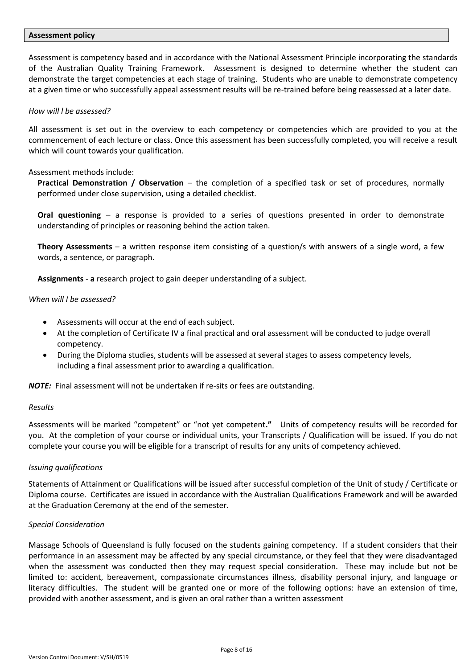#### <span id="page-7-0"></span>**Assessment policy**

Assessment is competency based and in accordance with the National Assessment Principle incorporating the standards of the Australian Quality Training Framework. Assessment is designed to determine whether the student can demonstrate the target competencies at each stage of training. Students who are unable to demonstrate competency at a given time or who successfully appeal assessment results will be re-trained before being reassessed at a later date.

#### *How will l be assessed?*

All assessment is set out in the overview to each competency or competencies which are provided to you at the commencement of each lecture or class. Once this assessment has been successfully completed, you will receive a result which will count towards your qualification.

#### Assessment methods include:

**Practical Demonstration / Observation** – the completion of a specified task or set of procedures, normally performed under close supervision, using a detailed checklist.

**Oral questioning** – a response is provided to a series of questions presented in order to demonstrate understanding of principles or reasoning behind the action taken.

**Theory Assessments** – a written response item consisting of a question/s with answers of a single word, a few words, a sentence, or paragraph.

**Assignments** - **a** research project to gain deeper understanding of a subject.

#### *When will I be assessed?*

- Assessments will occur at the end of each subject.
- At the completion of Certificate IV a final practical and oral assessment will be conducted to judge overall competency.
- During the Diploma studies, students will be assessed at several stages to assess competency levels, including a final assessment prior to awarding a qualification.

*NOTE:* Final assessment will not be undertaken if re-sits or fees are outstanding.

#### *Results*

Assessments will be marked "competent" or "not yet competent**."** Units of competency results will be recorded for you. At the completion of your course or individual units, your Transcripts / Qualification will be issued. If you do not complete your course you will be eligible for a transcript of results for any units of competency achieved.

#### *Issuing qualifications*

Statements of Attainment or Qualifications will be issued after successful completion of the Unit of study / Certificate or Diploma course. Certificates are issued in accordance with the Australian Qualifications Framework and will be awarded at the Graduation Ceremony at the end of the semester.

#### *Special Consideration*

Massage Schools of Queensland is fully focused on the students gaining competency. If a student considers that their performance in an assessment may be affected by any special circumstance, or they feel that they were disadvantaged when the assessment was conducted then they may request special consideration. These may include but not be limited to: accident, bereavement, compassionate circumstances illness, disability personal injury, and language or literacy difficulties. The student will be granted one or more of the following options: have an extension of time, provided with another assessment, and is given an oral rather than a written assessment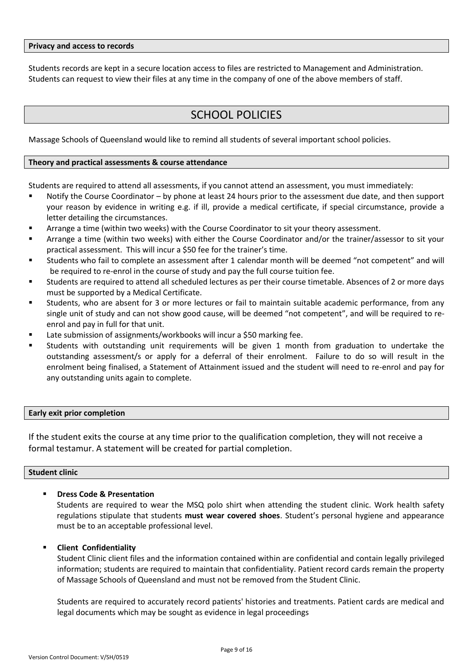#### <span id="page-8-0"></span>**Privacy and access to records**

Students records are kept in a secure location access to files are restricted to Management and Administration. Students can request to view their files at any time in the company of one of the above members of staff.

### SCHOOL POLICIES

<span id="page-8-1"></span>Massage Schools of Queensland would like to remind all students of several important school policies.

#### <span id="page-8-2"></span>**Theory and practical assessments & course attendance**

Students are required to attend all assessments, if you cannot attend an assessment, you must immediately:

- Notify the Course Coordinator by phone at least 24 hours prior to the assessment due date, and then support your reason by evidence in writing e.g. if ill, provide a medical certificate, if special circumstance, provide a letter detailing the circumstances.
- Arrange a time (within two weeks) with the Course Coordinator to sit your theory assessment.
- Arrange a time (within two weeks) with either the Course Coordinator and/or the trainer/assessor to sit your practical assessment. This will incur a \$50 fee for the trainer's time.
- Students who fail to complete an assessment after 1 calendar month will be deemed "not competent" and will be required to re-enrol in the course of study and pay the full course tuition fee.
- Students are required to attend all scheduled lectures as per their course timetable. Absences of 2 or more days must be supported by a Medical Certificate.
- Students, who are absent for 3 or more lectures or fail to maintain suitable academic performance, from any single unit of study and can not show good cause, will be deemed "not competent", and will be required to reenrol and pay in full for that unit.
- Late submission of assignments/workbooks will incur a \$50 marking fee.
- Students with outstanding unit requirements will be given 1 month from graduation to undertake the outstanding assessment/s or apply for a deferral of their enrolment. Failure to do so will result in the enrolment being finalised, a Statement of Attainment issued and the student will need to re-enrol and pay for any outstanding units again to complete.

#### <span id="page-8-3"></span>**Early exit prior completion**

If the student exits the course at any time prior to the qualification completion, they will not receive a formal testamur. A statement will be created for partial completion.

#### <span id="page-8-4"></span>**Student clinic**

#### **Dress Code & Presentation**

Students are required to wear the MSQ polo shirt when attending the student clinic. Work health safety regulations stipulate that students **must wear covered shoes**. Student's personal hygiene and appearance must be to an acceptable professional level.

#### **Client Confidentiality**

Student Clinic client files and the information contained within are confidential and contain legally privileged information; students are required to maintain that confidentiality. Patient record cards remain the property of Massage Schools of Queensland and must not be removed from the Student Clinic.

Students are required to accurately record patients' histories and treatments. Patient cards are medical and legal documents which may be sought as evidence in legal proceedings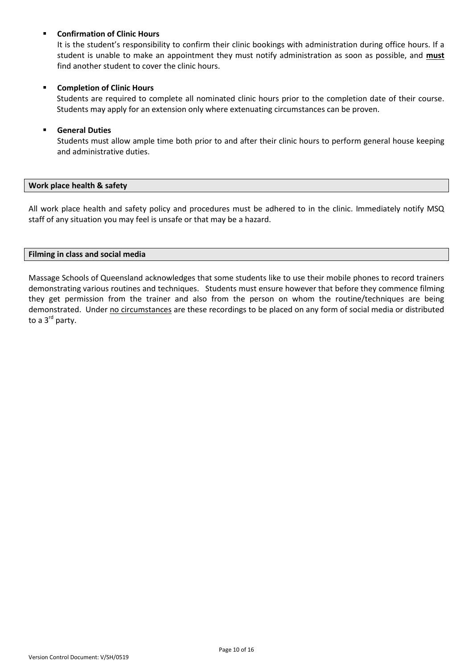#### **Confirmation of Clinic Hours**

It is the student's responsibility to confirm their clinic bookings with administration during office hours. If a student is unable to make an appointment they must notify administration as soon as possible, and **must** find another student to cover the clinic hours.

#### **EXECOMPLE COMPLETED COMPLEM**

Students are required to complete all nominated clinic hours prior to the completion date of their course. Students may apply for an extension only where extenuating circumstances can be proven.

#### **General Duties**

Students must allow ample time both prior to and after their clinic hours to perform general house keeping and administrative duties.

#### <span id="page-9-0"></span>**Work place health & safety**

All work place health and safety policy and procedures must be adhered to in the clinic. Immediately notify MSQ staff of any situation you may feel is unsafe or that may be a hazard.

#### <span id="page-9-1"></span>**Filming in class and social media**

Massage Schools of Queensland acknowledges that some students like to use their mobile phones to record trainers demonstrating various routines and techniques. Students must ensure however that before they commence filming they get permission from the trainer and also from the person on whom the routine/techniques are being demonstrated. Under no circumstances are these recordings to be placed on any form of social media or distributed to a 3<sup>rd</sup> party.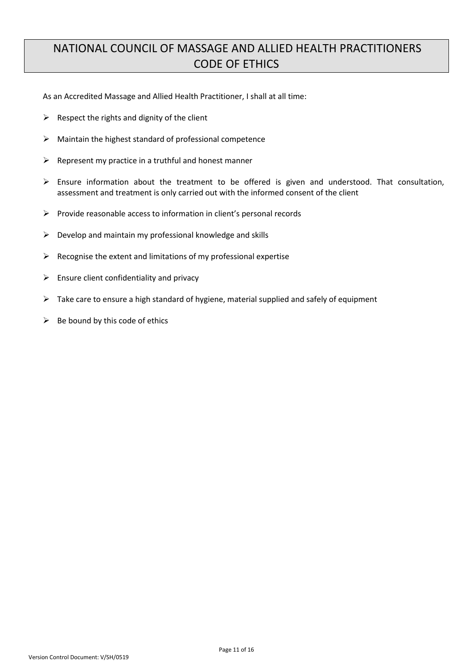### <span id="page-10-1"></span><span id="page-10-0"></span>NATIONAL COUNCIL OF MASSAGE AND ALLIED HEALTH PRACTITIONERS CODE OF ETHICS

As an Accredited Massage and Allied Health Practitioner, I shall at all time:

- $\triangleright$  Respect the rights and dignity of the client
- $\triangleright$  Maintain the highest standard of professional competence
- $\triangleright$  Represent my practice in a truthful and honest manner
- $\triangleright$  Ensure information about the treatment to be offered is given and understood. That consultation, assessment and treatment is only carried out with the informed consent of the client
- $\triangleright$  Provide reasonable access to information in client's personal records
- $\triangleright$  Develop and maintain my professional knowledge and skills
- $\triangleright$  Recognise the extent and limitations of my professional expertise
- $\triangleright$  Ensure client confidentiality and privacy
- $\triangleright$  Take care to ensure a high standard of hygiene, material supplied and safely of equipment
- $\triangleright$  Be bound by this code of ethics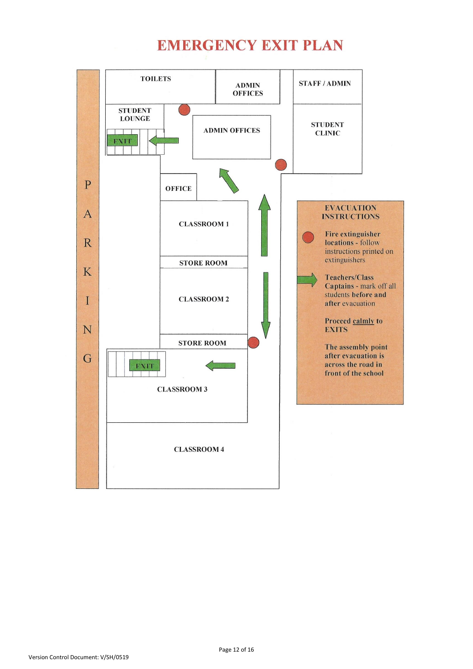## **EMERGENCY EXIT PLAN**

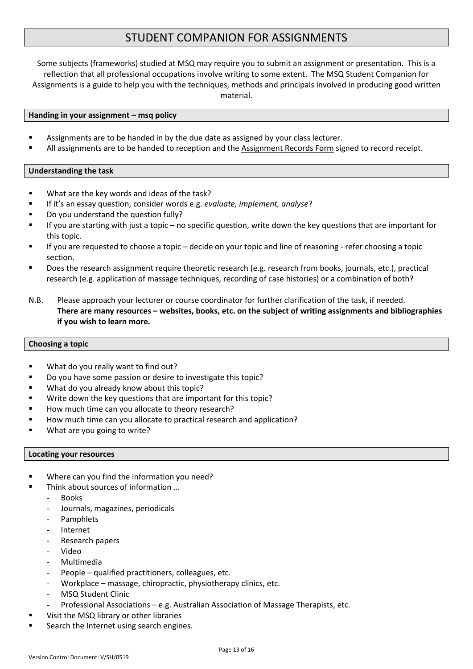### STUDENT COMPANION FOR ASSIGNMENTS

<span id="page-12-0"></span>Some subjects (frameworks) studied at MSQ may require you to submit an assignment or presentation. This is a reflection that all professional occupations involve writing to some extent. The MSQ Student Companion for Assignments is a guide to help you with the techniques, methods and principals involved in producing good written material.

#### <span id="page-12-1"></span>**Handing in your assignment – msq policy**

- Assignments are to be handed in by the due date as assigned by your class lecturer.
- All assignments are to be handed to reception and the Assignment Records Form signed to record receipt.

#### <span id="page-12-2"></span>**Understanding the task**

- What are the key words and ideas of the task?
- If it's an essay question, consider words e.g. *evaluate, implement, analyse*?
- Do you understand the question fully?
- If you are starting with just a topic no specific question, write down the key questions that are important for this topic.
- If you are requested to choose a topic decide on your topic and line of reasoning refer choosing a topic section.
- Does the research assignment require theoretic research (e.g. research from books, journals, etc.), practical research (e.g. application of massage techniques, recording of case histories) or a combination of both?
- N.B. Please approach your lecturer or course coordinator for further clarification of the task, if needed. **There are many resources – websites, books, etc. on the subject of writing assignments and bibliographies if you wish to learn more.**

#### <span id="page-12-3"></span>**Choosing a topic**

- What do you really want to find out?
- Do you have some passion or desire to investigate this topic?
- What do you already know about this topic?
- Write down the key questions that are important for this topic?
- How much time can you allocate to theory research?
- How much time can you allocate to practical research and application?
- What are you going to write?

#### <span id="page-12-4"></span>**Locating your resources**

- Where can you find the information you need?
	- Think about sources of information …
	- Books
	- Journals, magazines, periodicals
	- **Pamphlets**
	- Internet
	- Research papers
	- Video
	- Multimedia
	- People qualified practitioners, colleagues, etc.
	- Workplace massage, chiropractic, physiotherapy clinics, etc.
	- MSQ Student Clinic
	- Professional Associations e.g. Australian Association of Massage Therapists, etc.
- Visit the MSQ library or other libraries
- Search the Internet using search engines.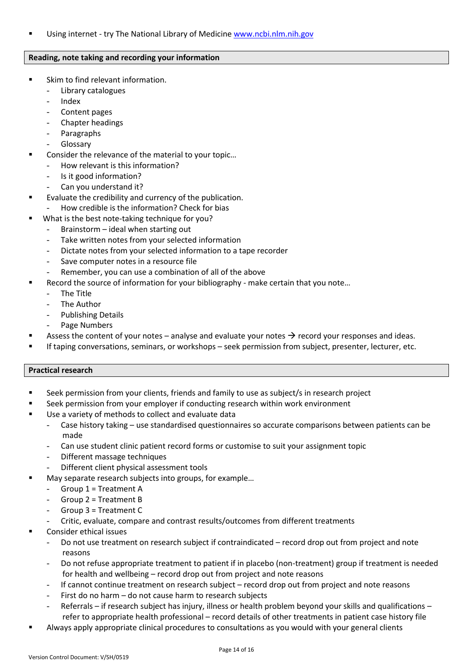Using internet - try The National Library of Medicine [www.ncbi.nlm.nih.gov](http://www.ncbi.nlm.nih.gov/)

#### <span id="page-13-0"></span>**Reading, note taking and recording your information**

- Skim to find relevant information.
	- Library catalogues
	- Index
	- Content pages
	- Chapter headings
	- **Paragraphs**
	- Glossary
- Consider the relevance of the material to your topic…
	- How relevant is this information?
	- Is it good information?
	- Can you understand it?
- Evaluate the credibility and currency of the publication.
- How credible is the information? Check for bias
	- What is the best note-taking technique for you?
		- Brainstorm ideal when starting out
		- Take written notes from your selected information
		- Dictate notes from your selected information to a tape recorder
		- Save computer notes in a resource file
		- Remember, you can use a combination of all of the above
- Record the source of information for your bibliography make certain that you note…
	- The Title
	- The Author
	- Publishing Details
	- Page Numbers
- Assess the content of your notes analyse and evaluate your notes  $\rightarrow$  record your responses and ideas.
- If taping conversations, seminars, or workshops seek permission from subject, presenter, lecturer, etc.

#### <span id="page-13-1"></span>**Practical research**

- Seek permission from your clients, friends and family to use as subject/s in research project
- Seek permission from your employer if conducting research within work environment
- Use a variety of methods to collect and evaluate data
	- Case history taking use standardised questionnaires so accurate comparisons between patients can be made
	- Can use student clinic patient record forms or customise to suit your assignment topic
	- Different massage techniques
	- Different client physical assessment tools
- May separate research subjects into groups, for example…
	- $-$  Group 1 = Treatment A
	- Group 2 = Treatment B
	- Group 3 = Treatment C
	- Critic, evaluate, compare and contrast results/outcomes from different treatments
- Consider ethical issues
	- Do not use treatment on research subject if contraindicated record drop out from project and note reasons
	- Do not refuse appropriate treatment to patient if in placebo (non-treatment) group if treatment is needed for health and wellbeing – record drop out from project and note reasons
	- If cannot continue treatment on research subject record drop out from project and note reasons
	- First do no harm do not cause harm to research subjects
	- Referrals if research subject has injury, illness or health problem beyond your skills and qualifications refer to appropriate health professional – record details of other treatments in patient case history file
- Always apply appropriate clinical procedures to consultations as you would with your general clients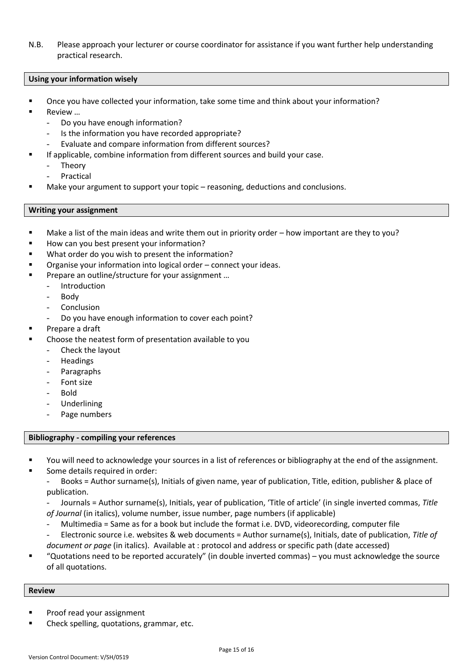N.B. Please approach your lecturer or course coordinator for assistance if you want further help understanding practical research.

#### <span id="page-14-0"></span>**Using your information wisely**

- Once you have collected your information, take some time and think about your information?
- Review …
	- Do you have enough information?
	- Is the information you have recorded appropriate?
	- Evaluate and compare information from different sources?
- If applicable, combine information from different sources and build your case.
	- **Theory**
	- **Practical**
- Make your argument to support your topic reasoning, deductions and conclusions.

#### <span id="page-14-1"></span>**Writing your assignment**

- Make a list of the main ideas and write them out in priority order how important are they to you?
- How can you best present your information?
- What order do you wish to present the information?
- Organise your information into logical order connect your ideas.
- Prepare an outline/structure for your assignment …
	- **Introduction**
	- **Body**
	- **Conclusion**
	- Do you have enough information to cover each point?
- Prepare a draft
- Choose the neatest form of presentation available to you
	- Check the layout
	- **Headings**
	- Paragraphs
	- Font size
	- Bold
	- Underlining
	- Page numbers

#### <span id="page-14-2"></span>**Bibliography - compiling your references**

- You will need to acknowledge your sources in a list of references or bibliography at the end of the assignment.
- Some details required in order:
	- Books = Author surname(s), Initials of given name, year of publication, Title, edition, publisher & place of publication.

- Journals = Author surname(s), Initials, year of publication, 'Title of article' (in single inverted commas, *Title of Journal* (in italics), volume number, issue number, page numbers (if applicable)

- Multimedia = Same as for a book but include the format i.e. DVD, videorecording, computer file
- Electronic source i.e. websites & web documents = Author surname(s), Initials, date of publication, *Title of document or page* (in italics). Available at : protocol and address or specific path (date accessed)
- "Quotations need to be reported accurately" (in double inverted commas) you must acknowledge the source of all quotations.

#### <span id="page-14-3"></span>**Review**

- Proof read your assignment
- Check spelling, quotations, grammar, etc.